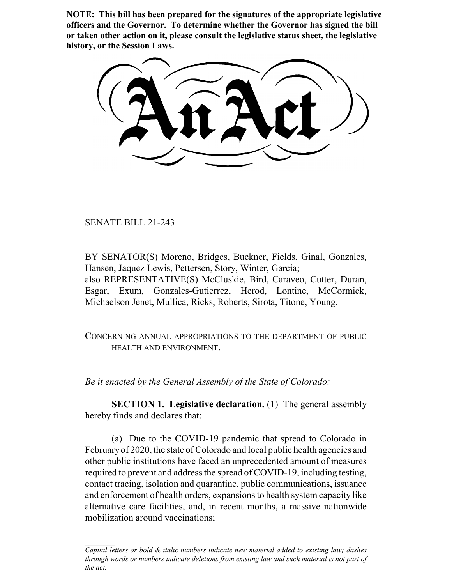**NOTE: This bill has been prepared for the signatures of the appropriate legislative officers and the Governor. To determine whether the Governor has signed the bill or taken other action on it, please consult the legislative status sheet, the legislative history, or the Session Laws.**

SENATE BILL 21-243

BY SENATOR(S) Moreno, Bridges, Buckner, Fields, Ginal, Gonzales, Hansen, Jaquez Lewis, Pettersen, Story, Winter, Garcia; also REPRESENTATIVE(S) McCluskie, Bird, Caraveo, Cutter, Duran, Esgar, Exum, Gonzales-Gutierrez, Herod, Lontine, McCormick, Michaelson Jenet, Mullica, Ricks, Roberts, Sirota, Titone, Young.

CONCERNING ANNUAL APPROPRIATIONS TO THE DEPARTMENT OF PUBLIC HEALTH AND ENVIRONMENT.

*Be it enacted by the General Assembly of the State of Colorado:*

**SECTION 1. Legislative declaration.** (1) The general assembly hereby finds and declares that:

(a) Due to the COVID-19 pandemic that spread to Colorado in February of 2020, the state of Colorado and local public health agencies and other public institutions have faced an unprecedented amount of measures required to prevent and address the spread of COVID-19, including testing, contact tracing, isolation and quarantine, public communications, issuance and enforcement of health orders, expansions to health system capacity like alternative care facilities, and, in recent months, a massive nationwide mobilization around vaccinations;

*Capital letters or bold & italic numbers indicate new material added to existing law; dashes through words or numbers indicate deletions from existing law and such material is not part of the act.*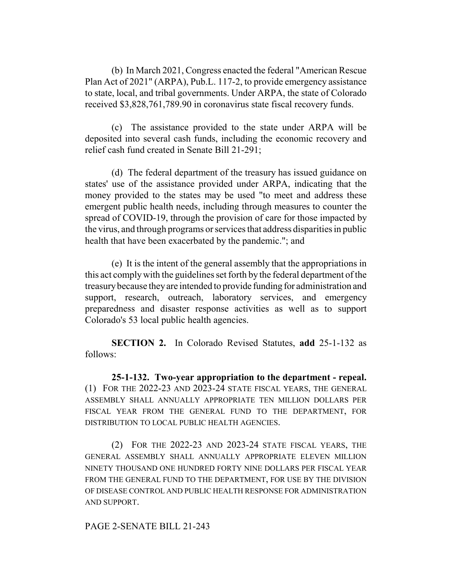(b) In March 2021, Congress enacted the federal "American Rescue Plan Act of 2021" (ARPA), Pub.L. 117-2, to provide emergency assistance to state, local, and tribal governments. Under ARPA, the state of Colorado received \$3,828,761,789.90 in coronavirus state fiscal recovery funds.

(c) The assistance provided to the state under ARPA will be deposited into several cash funds, including the economic recovery and relief cash fund created in Senate Bill 21-291;

(d) The federal department of the treasury has issued guidance on states' use of the assistance provided under ARPA, indicating that the money provided to the states may be used "to meet and address these emergent public health needs, including through measures to counter the spread of COVID-19, through the provision of care for those impacted by the virus, and through programs or services that address disparities in public health that have been exacerbated by the pandemic."; and

(e) It is the intent of the general assembly that the appropriations in this act comply with the guidelines set forth by the federal department of the treasury because they are intended to provide funding for administration and support, research, outreach, laboratory services, and emergency preparedness and disaster response activities as well as to support Colorado's 53 local public health agencies.

**SECTION 2.** In Colorado Revised Statutes, **add** 25-1-132 as follows:

**25-1-132. Two-year appropriation to the department - repeal.** (1) FOR THE 2022-23 AND 2023-24 STATE FISCAL YEARS, THE GENERAL ASSEMBLY SHALL ANNUALLY APPROPRIATE TEN MILLION DOLLARS PER FISCAL YEAR FROM THE GENERAL FUND TO THE DEPARTMENT, FOR DISTRIBUTION TO LOCAL PUBLIC HEALTH AGENCIES.

(2) FOR THE 2022-23 AND 2023-24 STATE FISCAL YEARS, THE GENERAL ASSEMBLY SHALL ANNUALLY APPROPRIATE ELEVEN MILLION NINETY THOUSAND ONE HUNDRED FORTY NINE DOLLARS PER FISCAL YEAR FROM THE GENERAL FUND TO THE DEPARTMENT, FOR USE BY THE DIVISION OF DISEASE CONTROL AND PUBLIC HEALTH RESPONSE FOR ADMINISTRATION AND SUPPORT.

## PAGE 2-SENATE BILL 21-243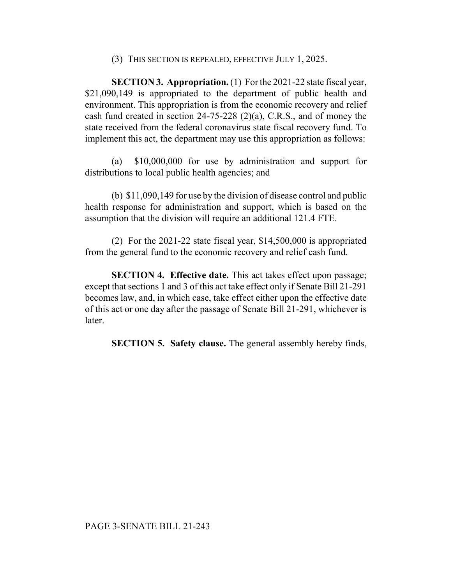(3) THIS SECTION IS REPEALED, EFFECTIVE JULY 1, 2025.

**SECTION 3. Appropriation.** (1) For the 2021-22 state fiscal year, \$21,090,149 is appropriated to the department of public health and environment. This appropriation is from the economic recovery and relief cash fund created in section 24-75-228 (2)(a), C.R.S., and of money the state received from the federal coronavirus state fiscal recovery fund. To implement this act, the department may use this appropriation as follows:

(a) \$10,000,000 for use by administration and support for distributions to local public health agencies; and

(b) \$11,090,149 for use by the division of disease control and public health response for administration and support, which is based on the assumption that the division will require an additional 121.4 FTE.

(2) For the 2021-22 state fiscal year, \$14,500,000 is appropriated from the general fund to the economic recovery and relief cash fund.

**SECTION 4. Effective date.** This act takes effect upon passage; except that sections 1 and 3 of this act take effect only if Senate Bill 21-291 becomes law, and, in which case, take effect either upon the effective date of this act or one day after the passage of Senate Bill 21-291, whichever is later.

**SECTION 5. Safety clause.** The general assembly hereby finds,